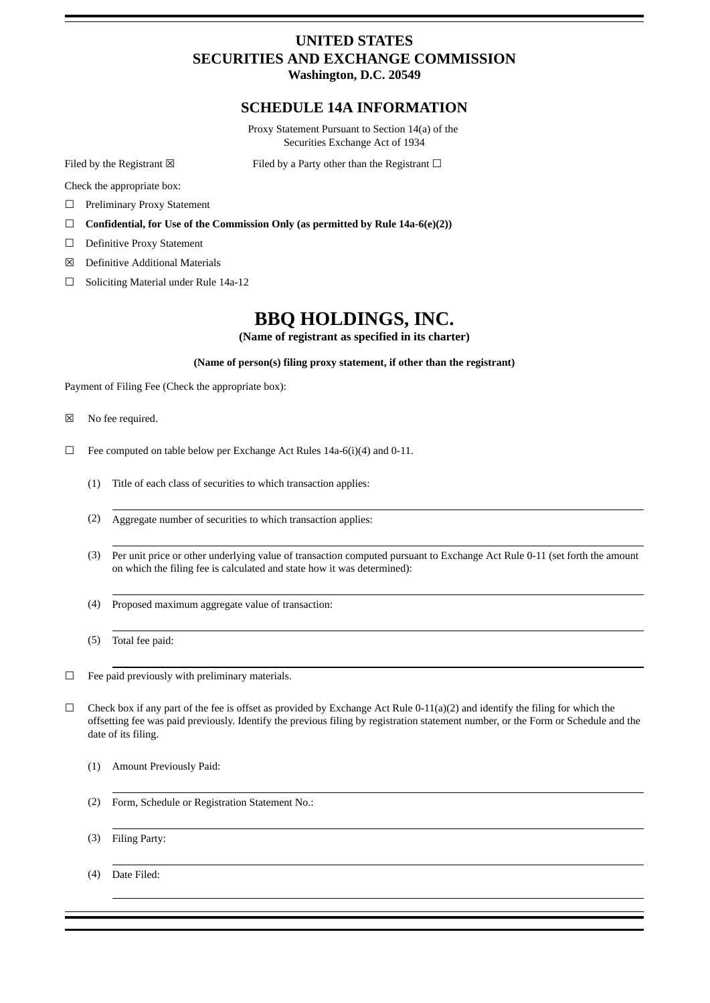# **UNITED STATES SECURITIES AND EXCHANGE COMMISSION**

**Washington, D.C. 20549**

### **SCHEDULE 14A INFORMATION**

Proxy Statement Pursuant to Section 14(a) of the Securities Exchange Act of 1934

Filed by the Registrant  $\boxtimes$  Filed by a Party other than the Registrant  $\Box$ 

Check the appropriate box:

- ☐ Preliminary Proxy Statement
- ☐ **Confidential, for Use of the Commission Only (as permitted by Rule 14a-6(e)(2))**
- ☐ Definitive Proxy Statement
- ☒ Definitive Additional Materials
- ☐ Soliciting Material under Rule 14a-12

## **BBQ HOLDINGS, INC.**

**(Name of registrant as specified in its charter)**

#### **(Name of person(s) filing proxy statement, if other than the registrant)**

Payment of Filing Fee (Check the appropriate box):

- ☒ No fee required.
- $\Box$  Fee computed on table below per Exchange Act Rules 14a-6(i)(4) and 0-11.
	- (1) Title of each class of securities to which transaction applies:
	- (2) Aggregate number of securities to which transaction applies:
	- (3) Per unit price or other underlying value of transaction computed pursuant to Exchange Act Rule 0-11 (set forth the amount on which the filing fee is calculated and state how it was determined):
	- (4) Proposed maximum aggregate value of transaction:
	- (5) Total fee paid:

 $\Box$  Fee paid previously with preliminary materials.

- $\Box$  Check box if any part of the fee is offset as provided by Exchange Act Rule 0-11(a)(2) and identify the filing for which the offsetting fee was paid previously. Identify the previous filing by registration statement number, or the Form or Schedule and the date of its filing.
	- (1) Amount Previously Paid:
	- (2) Form, Schedule or Registration Statement No.:
	- (3) Filing Party:

(4) Date Filed: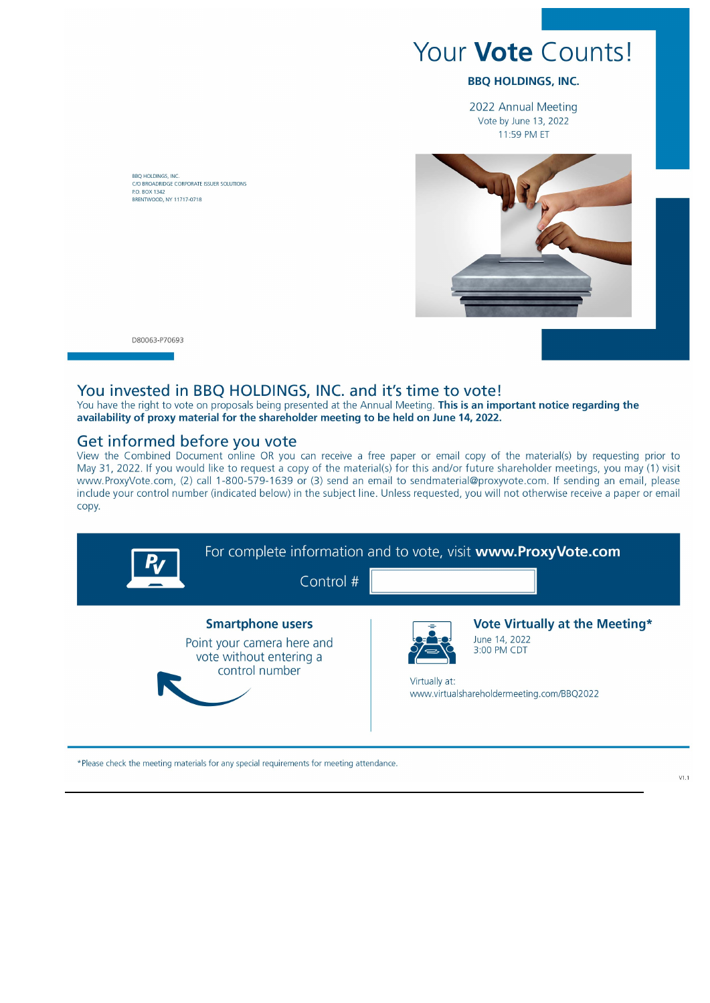# Your **Vote** Counts!

### **BBO HOLDINGS, INC.**

2022 Annual Meeting Vote by June 13, 2022 11:59 PM ET



BRO HOLDINGS, INC. C/O BROADRIDGE CORPORATE ISSUER SOLUTIONS<br>P.O. BOX 1342 **RRENTWOOD NY 11717-0718** 

D80063-P70693

### You invested in BBQ HOLDINGS, INC. and it's time to vote!

You have the right to vote on proposals being presented at the Annual Meeting. This is an important notice regarding the availability of proxy material for the shareholder meeting to be held on June 14, 2022.

## Get informed before you vote

View the Combined Document online OR you can receive a free paper or email copy of the material(s) by requesting prior to May 31, 2022. If you would like to request a copy of the material(s) for this and/or future shareholder meetings, you may (1) visit www.ProxyVote.com, (2) call 1-800-579-1639 or (3) send an email to sendmaterial@proxyvote.com. If sending an email, please include your control number (indicated below) in the subject line. Unless requested, you will not otherwise receive a paper or email copy.



\*Please check the meeting materials for any special requirements for meeting attendance.